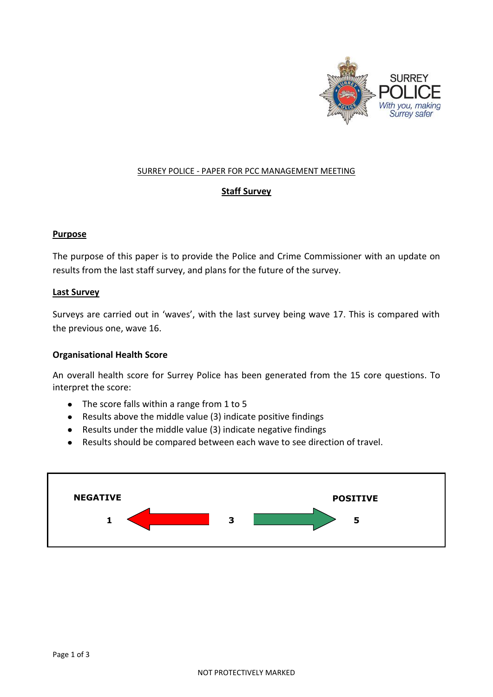

#### SURREY POLICE - PAPER FOR PCC MANAGEMENT MEETING

## **Staff Survey**

### **Purpose**

The purpose of this paper is to provide the Police and Crime Commissioner with an update on results from the last staff survey, and plans for the future of the survey.

#### **Last Survey**

Surveys are carried out in 'waves', with the last survey being wave 17. This is compared with the previous one, wave 16.

### **Organisational Health Score**

An overall health score for Surrey Police has been generated from the 15 core questions. To interpret the score:

- The score falls within a range from 1 to 5
- Results above the middle value (3) indicate positive findings
- Results under the middle value (3) indicate negative findings
- Results should be compared between each wave to see direction of travel.

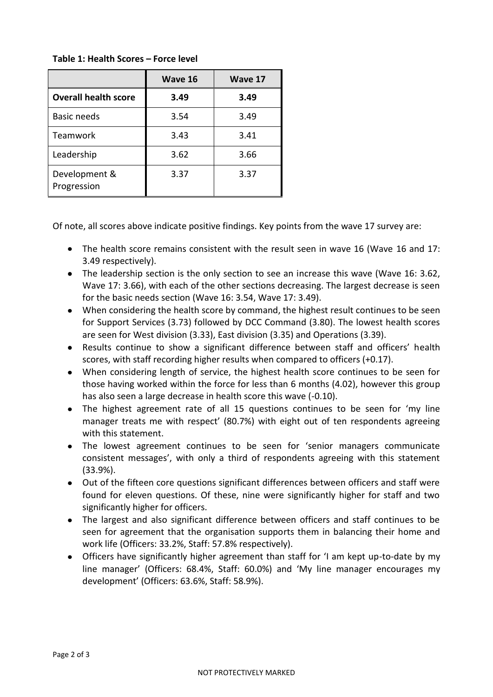# **Table 1: Health Scores – Force level**

|                              | Wave 16 | Wave 17 |
|------------------------------|---------|---------|
| <b>Overall health score</b>  | 3.49    | 3.49    |
| <b>Basic needs</b>           | 3.54    | 3.49    |
| Teamwork                     | 3.43    | 3.41    |
| Leadership                   | 3.62    | 3.66    |
| Development &<br>Progression | 3.37    | 3.37    |

Of note, all scores above indicate positive findings. Key points from the wave 17 survey are:

- The health score remains consistent with the result seen in wave 16 (Wave 16 and 17: 3.49 respectively).
- The leadership section is the only section to see an increase this wave (Wave 16: 3.62, Wave 17: 3.66), with each of the other sections decreasing. The largest decrease is seen for the basic needs section (Wave 16: 3.54, Wave 17: 3.49).
- When considering the health score by command, the highest result continues to be seen for Support Services (3.73) followed by DCC Command (3.80). The lowest health scores are seen for West division (3.33), East division (3.35) and Operations (3.39).
- Results continue to show a significant difference between staff and officers' health scores, with staff recording higher results when compared to officers (+0.17).
- When considering length of service, the highest health score continues to be seen for those having worked within the force for less than 6 months (4.02), however this group has also seen a large decrease in health score this wave (-0.10).
- The highest agreement rate of all 15 questions continues to be seen for 'my line manager treats me with respect' (80.7%) with eight out of ten respondents agreeing with this statement.
- The lowest agreement continues to be seen for 'senior managers communicate consistent messages', with only a third of respondents agreeing with this statement (33.9%).
- Out of the fifteen core questions significant differences between officers and staff were found for eleven questions. Of these, nine were significantly higher for staff and two significantly higher for officers.
- The largest and also significant difference between officers and staff continues to be seen for agreement that the organisation supports them in balancing their home and work life (Officers: 33.2%, Staff: 57.8% respectively).
- Officers have significantly higher agreement than staff for 'I am kept up-to-date by my line manager' (Officers: 68.4%, Staff: 60.0%) and 'My line manager encourages my development' (Officers: 63.6%, Staff: 58.9%).